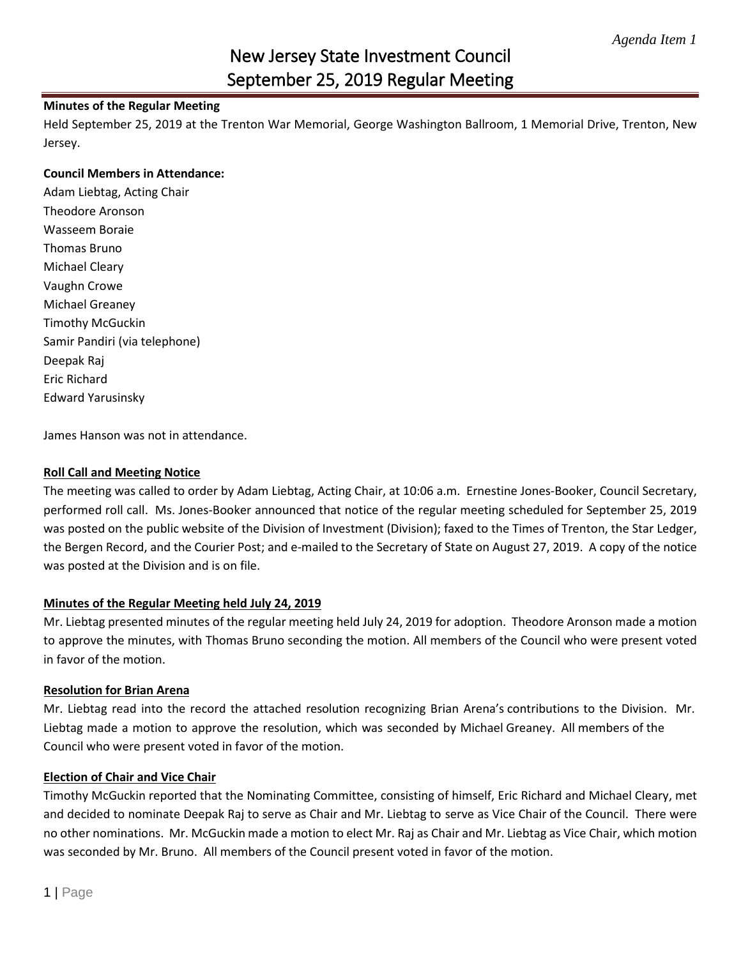# New Jersey State Investment Council September 25, 2019 Regular Meeting

## **Minutes of the Regular Meeting**

Held September 25, 2019 at the Trenton War Memorial, George Washington Ballroom, 1 Memorial Drive, Trenton, New Jersey.

#### **Council Members in Attendance:**

Adam Liebtag, Acting Chair Theodore Aronson Wasseem Boraie Thomas Bruno Michael Cleary Vaughn Crowe Michael Greaney Timothy McGuckin Samir Pandiri (via telephone) Deepak Raj Eric Richard Edward Yarusinsky

James Hanson was not in attendance.

### **Roll Call and Meeting Notice**

The meeting was called to order by Adam Liebtag, Acting Chair, at 10:06 a.m. Ernestine Jones-Booker, Council Secretary, performed roll call. Ms. Jones-Booker announced that notice of the regular meeting scheduled for September 25, 2019 was posted on the public website of the Division of Investment (Division); faxed to the Times of Trenton, the Star Ledger, the Bergen Record, and the Courier Post; and e-mailed to the Secretary of State on August 27, 2019. A copy of the notice was posted at the Division and is on file.

#### **Minutes of the Regular Meeting held July 24, 2019**

Mr. Liebtag presented minutes of the regular meeting held July 24, 2019 for adoption. Theodore Aronson made a motion to approve the minutes, with Thomas Bruno seconding the motion. All members of the Council who were present voted in favor of the motion.

#### **Resolution for Brian Arena**

Mr. Liebtag read into the record the attached resolution recognizing Brian Arena's contributions to the Division. Mr. Liebtag made a motion to approve the resolution, which was seconded by Michael Greaney. All members of the Council who were present voted in favor of the motion.

#### **Election of Chair and Vice Chair**

Timothy McGuckin reported that the Nominating Committee, consisting of himself, Eric Richard and Michael Cleary, met and decided to nominate Deepak Raj to serve as Chair and Mr. Liebtag to serve as Vice Chair of the Council. There were no other nominations. Mr. McGuckin made a motion to elect Mr. Raj as Chair and Mr. Liebtag as Vice Chair, which motion was seconded by Mr. Bruno. All members of the Council present voted in favor of the motion.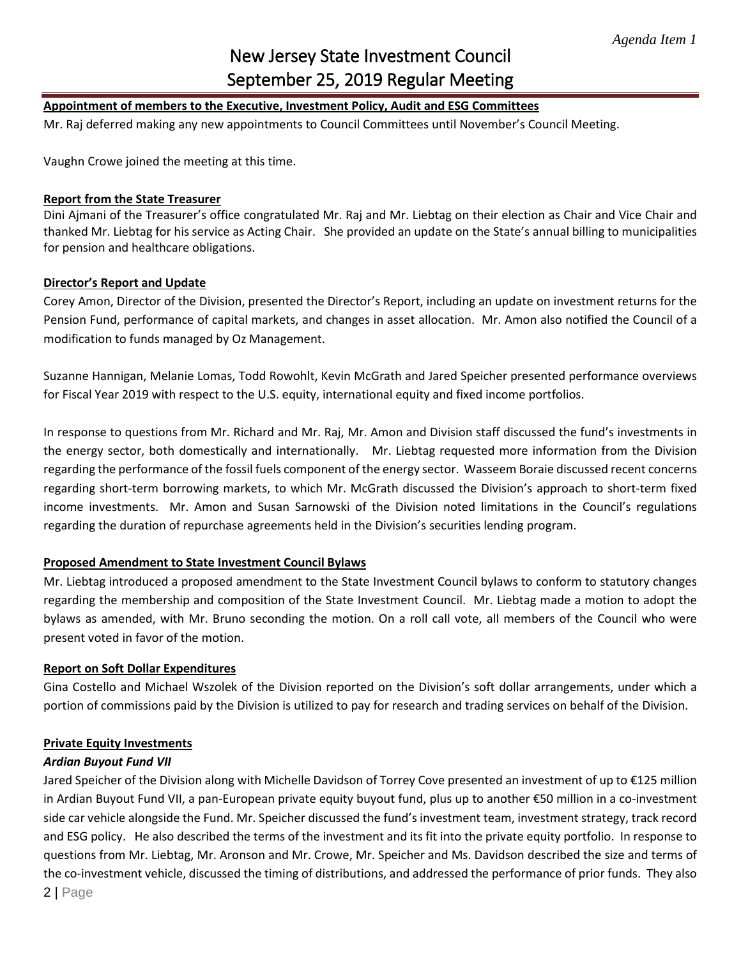# New Jersey State Investment Council September 25, 2019 Regular Meeting

# **Appointment of members to the Executive, Investment Policy, Audit and ESG Committees**

Mr. Raj deferred making any new appointments to Council Committees until November's Council Meeting.

Vaughn Crowe joined the meeting at this time.

#### **Report from the State Treasurer**

Dini Ajmani of the Treasurer's office congratulated Mr. Raj and Mr. Liebtag on their election as Chair and Vice Chair and thanked Mr. Liebtag for his service as Acting Chair. She provided an update on the State's annual billing to municipalities for pension and healthcare obligations.

#### **Director's Report and Update**

Corey Amon, Director of the Division, presented the Director's Report, including an update on investment returns for the Pension Fund, performance of capital markets, and changes in asset allocation. Mr. Amon also notified the Council of a modification to funds managed by Oz Management.

Suzanne Hannigan, Melanie Lomas, Todd Rowohlt, Kevin McGrath and Jared Speicher presented performance overviews for Fiscal Year 2019 with respect to the U.S. equity, international equity and fixed income portfolios.

In response to questions from Mr. Richard and Mr. Raj, Mr. Amon and Division staff discussed the fund's investments in the energy sector, both domestically and internationally. Mr. Liebtag requested more information from the Division regarding the performance of the fossil fuels component of the energy sector. Wasseem Boraie discussed recent concerns regarding short-term borrowing markets, to which Mr. McGrath discussed the Division's approach to short-term fixed income investments. Mr. Amon and Susan Sarnowski of the Division noted limitations in the Council's regulations regarding the duration of repurchase agreements held in the Division's securities lending program.

## **Proposed Amendment to State Investment Council Bylaws**

Mr. Liebtag introduced a proposed amendment to the State Investment Council bylaws to conform to statutory changes regarding the membership and composition of the State Investment Council. Mr. Liebtag made a motion to adopt the bylaws as amended, with Mr. Bruno seconding the motion. On a roll call vote, all members of the Council who were present voted in favor of the motion.

#### **Report on Soft Dollar Expenditures**

Gina Costello and Michael Wszolek of the Division reported on the Division's soft dollar arrangements, under which a portion of commissions paid by the Division is utilized to pay for research and trading services on behalf of the Division.

#### **Private Equity Investments**

## *Ardian Buyout Fund VII*

2 | Page Jared Speicher of the Division along with Michelle Davidson of Torrey Cove presented an investment of up to €125 million in Ardian Buyout Fund VII, a pan-European private equity buyout fund, plus up to another €50 million in a co-investment side car vehicle alongside the Fund. Mr. Speicher discussed the fund's investment team, investment strategy, track record and ESG policy. He also described the terms of the investment and its fit into the private equity portfolio. In response to questions from Mr. Liebtag, Mr. Aronson and Mr. Crowe, Mr. Speicher and Ms. Davidson described the size and terms of the co-investment vehicle, discussed the timing of distributions, and addressed the performance of prior funds. They also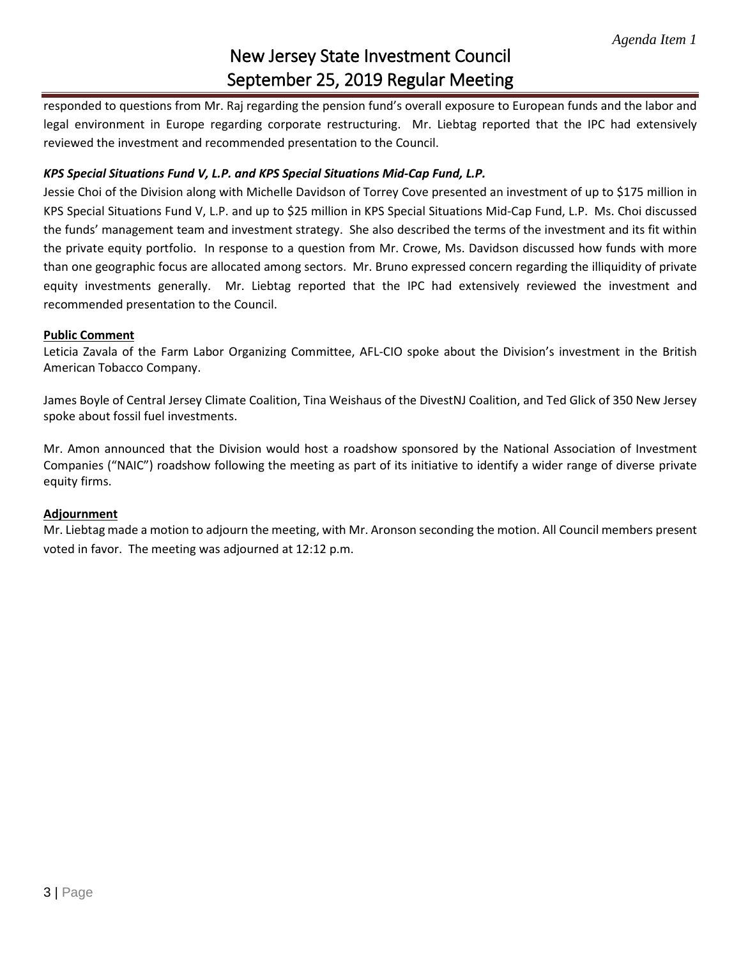# New Jersey State Investment Council September 25, 2019 Regular Meeting

responded to questions from Mr. Raj regarding the pension fund's overall exposure to European funds and the labor and legal environment in Europe regarding corporate restructuring. Mr. Liebtag reported that the IPC had extensively reviewed the investment and recommended presentation to the Council.

# *KPS Special Situations Fund V, L.P. and KPS Special Situations Mid-Cap Fund, L.P.*

Jessie Choi of the Division along with Michelle Davidson of Torrey Cove presented an investment of up to \$175 million in KPS Special Situations Fund V, L.P. and up to \$25 million in KPS Special Situations Mid-Cap Fund, L.P. Ms. Choi discussed the funds' management team and investment strategy. She also described the terms of the investment and its fit within the private equity portfolio. In response to a question from Mr. Crowe, Ms. Davidson discussed how funds with more than one geographic focus are allocated among sectors. Mr. Bruno expressed concern regarding the illiquidity of private equity investments generally. Mr. Liebtag reported that the IPC had extensively reviewed the investment and recommended presentation to the Council.

#### **Public Comment**

Leticia Zavala of the Farm Labor Organizing Committee, AFL-CIO spoke about the Division's investment in the British American Tobacco Company.

James Boyle of Central Jersey Climate Coalition, Tina Weishaus of the DivestNJ Coalition, and Ted Glick of 350 New Jersey spoke about fossil fuel investments.

Mr. Amon announced that the Division would host a roadshow sponsored by the National Association of Investment Companies ("NAIC") roadshow following the meeting as part of its initiative to identify a wider range of diverse private equity firms.

## **Adjournment**

Mr. Liebtag made a motion to adjourn the meeting, with Mr. Aronson seconding the motion. All Council members present voted in favor. The meeting was adjourned at 12:12 p.m.